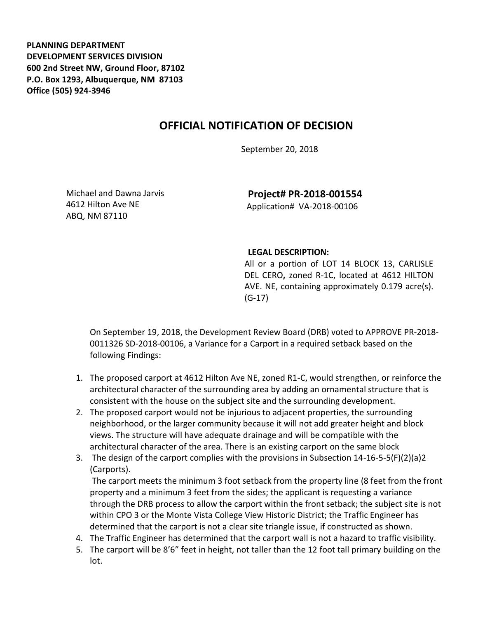**PLANNING DEPARTMENT DEVELOPMENT SERVICES DIVISION 600 2nd Street NW, Ground Floor, 87102 P.O. Box 1293, Albuquerque, NM 87103 Office (505) 924-3946** 

## **OFFICIAL NOTIFICATION OF DECISION**

September 20, 2018

Michael and Dawna Jarvis 4612 Hilton Ave NE ABQ, NM 87110

**Project# PR-2018-001554** Application# VA-2018-00106

## **LEGAL DESCRIPTION:**

All or a portion of LOT 14 BLOCK 13, CARLISLE DEL CERO**,** zoned R-1C, located at 4612 HILTON AVE. NE, containing approximately 0.179 acre(s). (G-17)

On September 19, 2018, the Development Review Board (DRB) voted to APPROVE PR-2018- 0011326 SD-2018-00106, a Variance for a Carport in a required setback based on the following Findings:

- 1. The proposed carport at 4612 Hilton Ave NE, zoned R1-C, would strengthen, or reinforce the architectural character of the surrounding area by adding an ornamental structure that is consistent with the house on the subject site and the surrounding development.
- 2. The proposed carport would not be injurious to adjacent properties, the surrounding neighborhood, or the larger community because it will not add greater height and block views. The structure will have adequate drainage and will be compatible with the architectural character of the area. There is an existing carport on the same block
- 3. The design of the carport complies with the provisions in Subsection 14-16-5-5(F)(2)(a)2 (Carports).

The carport meets the minimum 3 foot setback from the property line (8 feet from the front property and a minimum 3 feet from the sides; the applicant is requesting a variance through the DRB process to allow the carport within the front setback; the subject site is not within CPO 3 or the Monte Vista College View Historic District; the Traffic Engineer has determined that the carport is not a clear site triangle issue, if constructed as shown.

- 4. The Traffic Engineer has determined that the carport wall is not a hazard to traffic visibility.
- 5. The carport will be 8'6" feet in height, not taller than the 12 foot tall primary building on the lot.